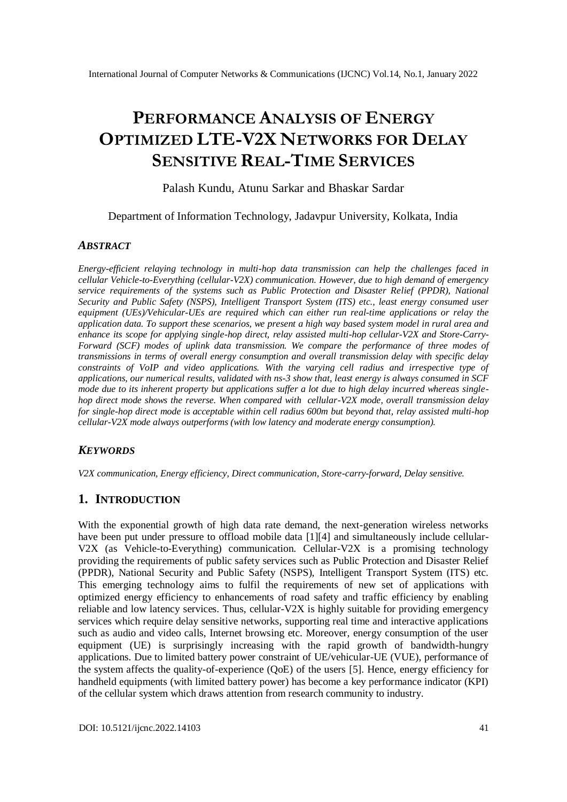# **PERFORMANCE ANALYSIS OF ENERGY OPTIMIZED LTE-V2X NETWORKS FOR DELAY SENSITIVE REAL-TIME SERVICES**

### Palash Kundu, Atunu Sarkar and Bhaskar Sardar

### Department of Information Technology, Jadavpur University, Kolkata, India

### *ABSTRACT*

*Energy-efficient relaying technology in multi-hop data transmission can help the challenges faced in cellular Vehicle-to-Everything (cellular-V2X) communication. However, due to high demand of emergency service requirements of the systems such as Public Protection and Disaster Relief (PPDR), National Security and Public Safety (NSPS), Intelligent Transport System (ITS) etc., least energy consumed user equipment (UEs)/Vehicular-UEs are required which can either run real-time applications or relay the application data. To support these scenarios, we present a high way based system model in rural area and enhance its scope for applying single-hop direct, relay assisted multi-hop cellular-V2X and Store-Carry-Forward (SCF) modes of uplink data transmission. We compare the performance of three modes of transmissions in terms of overall energy consumption and overall transmission delay with specific delay constraints of VoIP and video applications. With the varying cell radius and irrespective type of applications, our numerical results, validated with ns-3 show that, least energy is always consumed in SCF mode due to its inherent property but applications suffer a lot due to high delay incurred whereas singlehop direct mode shows the reverse. When compared with cellular-V2X mode, overall transmission delay for single-hop direct mode is acceptable within cell radius 600m but beyond that, relay assisted multi-hop cellular-V2X mode always outperforms (with low latency and moderate energy consumption).*

### *KEYWORDS*

*V2X communication, Energy efficiency, Direct communication, Store-carry-forward, Delay sensitive.* 

# **1. INTRODUCTION**

With the exponential growth of high data rate demand, the next-generation wireless networks have been put under pressure to offload mobile data [1][4] and simultaneously include cellular-V2X (as Vehicle-to-Everything) communication. Cellular-V2X is a promising technology providing the requirements of public safety services such as Public Protection and Disaster Relief (PPDR), National Security and Public Safety (NSPS), Intelligent Transport System (ITS) etc. This emerging technology aims to fulfil the requirements of new set of applications with optimized energy efficiency to enhancements of road safety and traffic efficiency by enabling reliable and low latency services. Thus, cellular-V2X is highly suitable for providing emergency services which require delay sensitive networks, supporting real time and interactive applications such as audio and video calls, Internet browsing etc. Moreover, energy consumption of the user equipment (UE) is surprisingly increasing with the rapid growth of bandwidth-hungry applications. Due to limited battery power constraint of UE/vehicular-UE (VUE), performance of the system affects the quality-of-experience (QoE) of the users [5]. Hence, energy efficiency for handheld equipments (with limited battery power) has become a key performance indicator (KPI) of the cellular system which draws attention from research community to industry.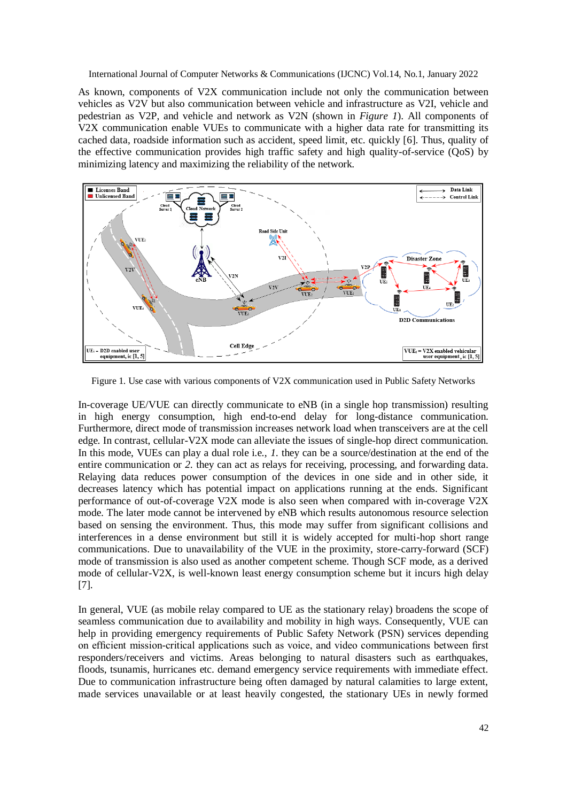As known, components of V2X communication include not only the communication between vehicles as V2V but also communication between vehicle and infrastructure as V2I, vehicle and pedestrian as V2P, and vehicle and network as V2N (shown in *Figure 1*). All components of V2X communication enable VUEs to communicate with a higher data rate for transmitting its cached data, roadside information such as accident, speed limit, etc. quickly [6]. Thus, quality of the effective communication provides high traffic safety and high quality-of-service (QoS) by minimizing latency and maximizing the reliability of the network.



Figure 1. Use case with various components of V2X communication used in Public Safety Networks

In-coverage UE/VUE can directly communicate to eNB (in a single hop transmission) resulting in high energy consumption, high end-to-end delay for long-distance communication. Furthermore, direct mode of transmission increases network load when transceivers are at the cell edge. In contrast, cellular-V2X mode can alleviate the issues of single-hop direct communication. In this mode, VUEs can play a dual role i.e., *1.* they can be a source/destination at the end of the entire communication or *2.* they can act as relays for receiving, processing, and forwarding data. Relaying data reduces power consumption of the devices in one side and in other side, it decreases latency which has potential impact on applications running at the ends. Significant performance of out-of-coverage V2X mode is also seen when compared with in-coverage V2X mode. The later mode cannot be intervened by eNB which results autonomous resource selection based on sensing the environment. Thus, this mode may suffer from significant collisions and interferences in a dense environment but still it is widely accepted for multi-hop short range communications. Due to unavailability of the VUE in the proximity, store-carry-forward (SCF) mode of transmission is also used as another competent scheme. Though SCF mode, as a derived mode of cellular-V2X, is well-known least energy consumption scheme but it incurs high delay [7].

In general, VUE (as mobile relay compared to UE as the stationary relay) broadens the scope of seamless communication due to availability and mobility in high ways. Consequently, VUE can help in providing emergency requirements of Public Safety Network (PSN) services depending on efficient mission-critical applications such as voice, and video communications between first responders/receivers and victims. Areas belonging to natural disasters such as earthquakes, floods, tsunamis, hurricanes etc. demand emergency service requirements with immediate effect. Due to communication infrastructure being often damaged by natural calamities to large extent, made services unavailable or at least heavily congested, the stationary UEs in newly formed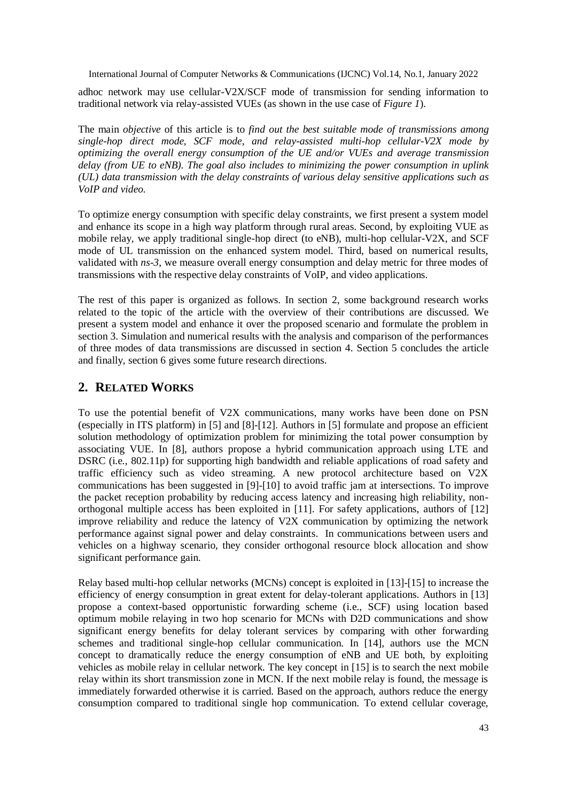adhoc network may use cellular-V2X/SCF mode of transmission for sending information to traditional network via relay-assisted VUEs (as shown in the use case of *Figure 1*).

The main *objective* of this article is to *find out the best suitable mode of transmissions among single-hop direct mode, SCF mode, and relay-assisted multi-hop cellular-V2X mode by optimizing the overall energy consumption of the UE and/or VUEs and average transmission delay (from UE to eNB). The goal also includes to minimizing the power consumption in uplink (UL) data transmission with the delay constraints of various delay sensitive applications such as VoIP and video.*

To optimize energy consumption with specific delay constraints, we first present a system model and enhance its scope in a high way platform through rural areas. Second, by exploiting VUE as mobile relay, we apply traditional single-hop direct (to eNB), multi-hop cellular-V2X, and SCF mode of UL transmission on the enhanced system model. Third, based on numerical results, validated with *ns-3*, we measure overall energy consumption and delay metric for three modes of transmissions with the respective delay constraints of VoIP, and video applications.

The rest of this paper is organized as follows. In section 2, some background research works related to the topic of the article with the overview of their contributions are discussed. We present a system model and enhance it over the proposed scenario and formulate the problem in section 3. Simulation and numerical results with the analysis and comparison of the performances of three modes of data transmissions are discussed in section 4. Section 5 concludes the article and finally, section 6 gives some future research directions.

# **2. RELATED WORKS**

To use the potential benefit of V2X communications, many works have been done on PSN (especially in ITS platform) in [5] and [8]-[12]. Authors in [5] formulate and propose an efficient solution methodology of optimization problem for minimizing the total power consumption by associating VUE. In [8], authors propose a hybrid communication approach using LTE and DSRC (i.e., 802.11p) for supporting high bandwidth and reliable applications of road safety and traffic efficiency such as video streaming. A new protocol architecture based on V2X communications has been suggested in [9]-[10] to avoid traffic jam at intersections. To improve the packet reception probability by reducing access latency and increasing high reliability, nonorthogonal multiple access has been exploited in [11]. For safety applications, authors of [12] improve reliability and reduce the latency of V2X communication by optimizing the network performance against signal power and delay constraints. In communications between users and vehicles on a highway scenario, they consider orthogonal resource block allocation and show significant performance gain.

Relay based multi-hop cellular networks (MCNs) concept is exploited in [13]-[15] to increase the efficiency of energy consumption in great extent for delay-tolerant applications. Authors in [13] propose a context-based opportunistic forwarding scheme (i.e., SCF) using location based optimum mobile relaying in two hop scenario for MCNs with D2D communications and show significant energy benefits for delay tolerant services by comparing with other forwarding schemes and traditional single-hop cellular communication. In [14], authors use the MCN concept to dramatically reduce the energy consumption of eNB and UE both, by exploiting vehicles as mobile relay in cellular network. The key concept in [15] is to search the next mobile relay within its short transmission zone in MCN. If the next mobile relay is found, the message is immediately forwarded otherwise it is carried. Based on the approach, authors reduce the energy consumption compared to traditional single hop communication. To extend cellular coverage,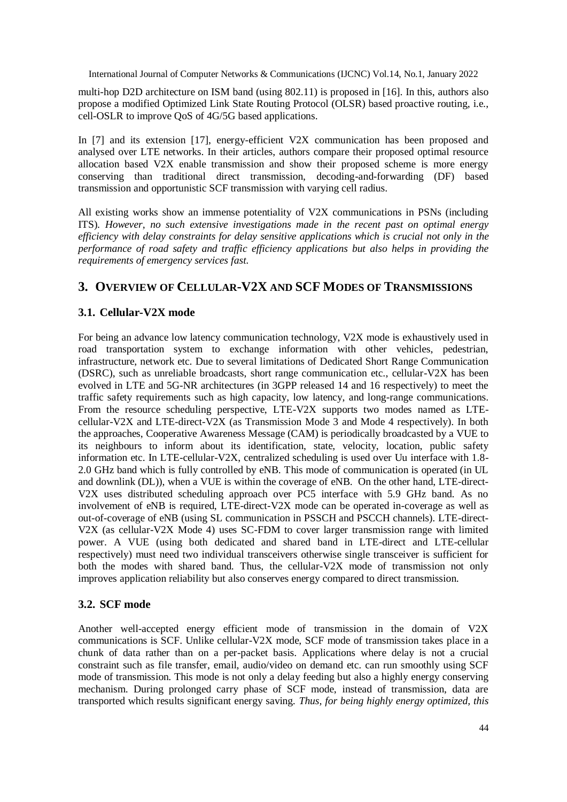multi-hop D2D architecture on ISM band (using 802.11) is proposed in [16]. In this, authors also propose a modified Optimized Link State Routing Protocol (OLSR) based proactive routing, i.e., cell-OSLR to improve QoS of 4G/5G based applications.

In [7] and its extension [17], energy-efficient V2X communication has been proposed and analysed over LTE networks. In their articles, authors compare their proposed optimal resource allocation based V2X enable transmission and show their proposed scheme is more energy conserving than traditional direct transmission, decoding-and-forwarding (DF) based transmission and opportunistic SCF transmission with varying cell radius.

All existing works show an immense potentiality of V2X communications in PSNs (including ITS). *However, no such extensive investigations made in the recent past on optimal energy efficiency with delay constraints for delay sensitive applications which is crucial not only in the performance of road safety and traffic efficiency applications but also helps in providing the requirements of emergency services fast.*

# **3. OVERVIEW OF CELLULAR-V2X AND SCF MODES OF TRANSMISSIONS**

# **3.1. Cellular-V2X mode**

For being an advance low latency communication technology, V2X mode is exhaustively used in road transportation system to exchange information with other vehicles, pedestrian, infrastructure, network etc. Due to several limitations of Dedicated Short Range Communication (DSRC), such as unreliable broadcasts, short range communication etc., cellular-V2X has been evolved in LTE and 5G-NR architectures (in 3GPP released 14 and 16 respectively) to meet the traffic safety requirements such as high capacity, low latency, and long-range communications. From the resource scheduling perspective, LTE-V2X supports two modes named as LTEcellular-V2X and LTE-direct-V2X (as Transmission Mode 3 and Mode 4 respectively). In both the approaches, Cooperative Awareness Message (CAM) is periodically broadcasted by a VUE to its neighbours to inform about its identification, state, velocity, location, public safety information etc. In LTE-cellular-V2X, centralized scheduling is used over Uu interface with 1.8- 2.0 GHz band which is fully controlled by eNB. This mode of communication is operated (in UL and downlink (DL)), when a VUE is within the coverage of eNB. On the other hand, LTE-direct-V2X uses distributed scheduling approach over PC5 interface with 5.9 GHz band. As no involvement of eNB is required, LTE-direct-V2X mode can be operated in-coverage as well as out-of-coverage of eNB (using SL communication in PSSCH and PSCCH channels). LTE-direct-V2X (as cellular-V2X Mode 4) uses SC-FDM to cover larger transmission range with limited power. A VUE (using both dedicated and shared band in LTE-direct and LTE-cellular respectively) must need two individual transceivers otherwise single transceiver is sufficient for both the modes with shared band. Thus, the cellular-V2X mode of transmission not only improves application reliability but also conserves energy compared to direct transmission.

# **3.2. SCF mode**

Another well-accepted energy efficient mode of transmission in the domain of V2X communications is SCF. Unlike cellular-V2X mode, SCF mode of transmission takes place in a chunk of data rather than on a per-packet basis. Applications where delay is not a crucial constraint such as file transfer, email, audio/video on demand etc. can run smoothly using SCF mode of transmission. This mode is not only a delay feeding but also a highly energy conserving mechanism. During prolonged carry phase of SCF mode, instead of transmission, data are transported which results significant energy saving. *Thus, for being highly energy optimized, this*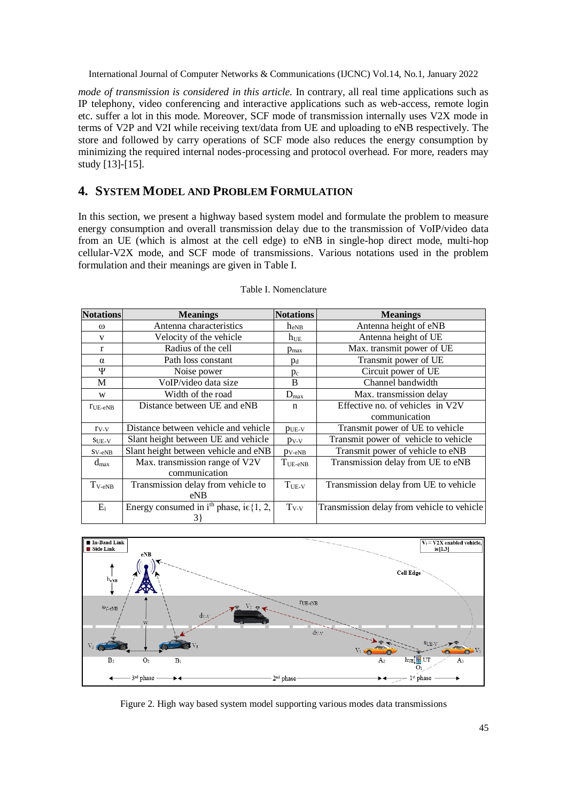*mode of transmission is considered in this article.* In contrary, all real time applications such as IP telephony, video conferencing and interactive applications such as web-access, remote login etc. suffer a lot in this mode. Moreover, SCF mode of transmission internally uses V2X mode in terms of V2P and V2I while receiving text/data from UE and uploading to eNB respectively. The store and followed by carry operations of SCF mode also reduces the energy consumption by minimizing the required internal nodes-processing and protocol overhead. For more, readers may study [13]-[15].

# **4. SYSTEM MODEL AND PROBLEM FORMULATION**

In this section, we present a highway based system model and formulate the problem to measure energy consumption and overall transmission delay due to the transmission of VoIP/video data from an UE (which is almost at the cell edge) to eNB in single-hop direct mode, multi-hop cellular-V2X mode, and SCF mode of transmissions. Various notations used in the problem formulation and their meanings are given in Table I.

| <b>Notations</b>       | <b>Meanings</b>                                               | <b>Notations</b>    | <b>Meanings</b>                            |  |
|------------------------|---------------------------------------------------------------|---------------------|--------------------------------------------|--|
| $\omega$               | Antenna characteristics                                       | $h_{eNB}$           | Antenna height of eNB                      |  |
| V                      | Velocity of the vehicle                                       | $h_{UE}$            | Antenna height of UE                       |  |
| $\mathbf{r}$           | Radius of the cell                                            | $p_{\text{max}}$    | Max. transmit power of UE                  |  |
| $\alpha$               | Path loss constant                                            | $p_d$               | Transmit power of UE                       |  |
| Ψ                      | Noise power                                                   | $p_c$               | Circuit power of UE                        |  |
| M                      | VoIP/video data size                                          | B                   | Channel bandwidth                          |  |
| W                      | Width of the road                                             | $D_{\text{max}}$    | Max. transmission delay                    |  |
| $r_{UE-eNB}$           | Distance between UE and eNB                                   |                     | Effective no. of vehicles in V2V           |  |
|                        |                                                               |                     | communication                              |  |
| $r_{V-V}$              | Distance between vehicle and vehicle                          | $p_{UE-V}$          | Transmit power of UE to vehicle            |  |
| $SUE-V$                | Slant height between UE and vehicle                           | $p_{V-V}$           | Transmit power of vehicle to vehicle       |  |
| $S_{V-eNB}$            | Slant height between vehicle and eNB                          | $p_{V-eNB}$         | Transmit power of vehicle to eNB           |  |
| $d_{\text{max}}$       | Max. transmission range of V2V                                | $T_{UE\text{-eNB}}$ | Transmission delay from UE to eNB          |  |
|                        | communication                                                 |                     |                                            |  |
| $T_{\rm V\text{-}eNB}$ | Transmission delay from vehicle to                            | $T_{UE-V}$          | Transmission delay from UE to vehicle      |  |
|                        | eNB                                                           |                     |                                            |  |
| $E_i$                  | Energy consumed in i <sup>th</sup> phase, i $\epsilon$ {1, 2, | $T_{V-V}$           | Transmission delay from vehicle to vehicle |  |
|                        | 3}                                                            |                     |                                            |  |

#### Table I. Nomenclature



Figure 2. High way based system model supporting various modes data transmissions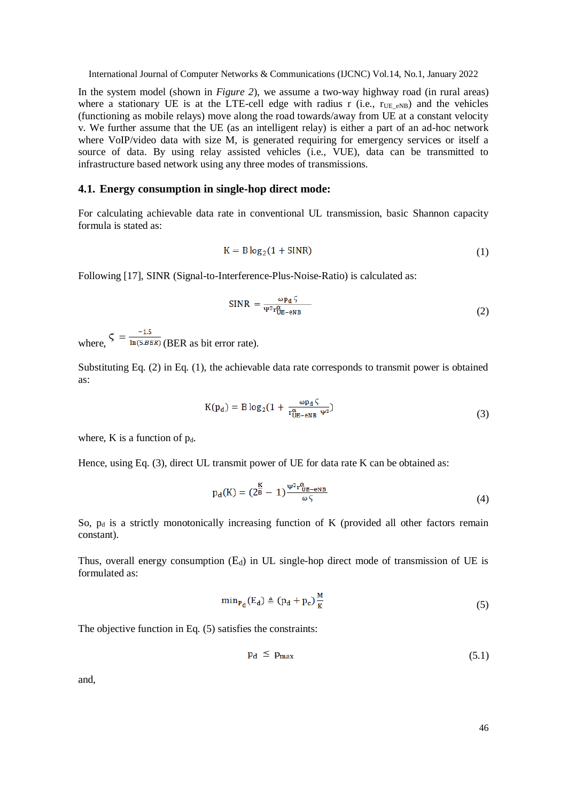In the system model (shown in *Figure 2*), we assume a two-way highway road (in rural areas) where a stationary UE is at the LTE-cell edge with radius r (i.e.,  $r_{UE|eNB}$ ) and the vehicles (functioning as mobile relays) move along the road towards/away from UE at a constant velocity v. We further assume that the UE (as an intelligent relay) is either a part of an ad-hoc network where VoIP/video data with size M, is generated requiring for emergency services or itself a source of data. By using relay assisted vehicles (i.e., VUE), data can be transmitted to infrastructure based network using any three modes of transmissions.

#### **4.1. Energy consumption in single-hop direct mode:**

For calculating achievable data rate in conventional UL transmission, basic Shannon capacity formula is stated as:

$$
K = B \log_2(1 + SIMR)
$$
 (1)

Following [17], SINR (Signal-to-Interference-Plus-Noise-Ratio) is calculated as:

$$
SINR = \frac{\omega p_d \zeta}{\Psi^2 r_{UE-eNB}^{\alpha}}
$$
 (2)

where,  $\zeta = \frac{-1.5}{\ln(5.BER)}$  (BER as bit error rate).

Substituting Eq. (2) in Eq. (1), the achievable data rate corresponds to transmit power is obtained as:

$$
K(p_d) = B \log_2(1 + \frac{\omega p_d \zeta}{r_{UE-eNB}^{\alpha} \psi^2})
$$
\n(3)

where,  $K$  is a function of  $p_d$ .

Hence, using Eq. (3), direct UL transmit power of UE for data rate K can be obtained as:

$$
p_d(K) = \left(\frac{K}{2^B} - 1\right) \frac{\Psi^2 r_{UE-eNB}^{\alpha}}{\omega \zeta} \tag{4}
$$

So,  $p_d$  is a strictly monotonically increasing function of K (provided all other factors remain constant).

Thus, overall energy consumption  $(E_d)$  in UL single-hop direct mode of transmission of UE is formulated as:

$$
\min_{P_d}(E_d) \triangleq (p_d + p_c) \frac{M}{K} \tag{5}
$$

The objective function in Eq. (5) satisfies the constraints:

$$
p_d \le p_{\text{max}} \tag{5.1}
$$

and,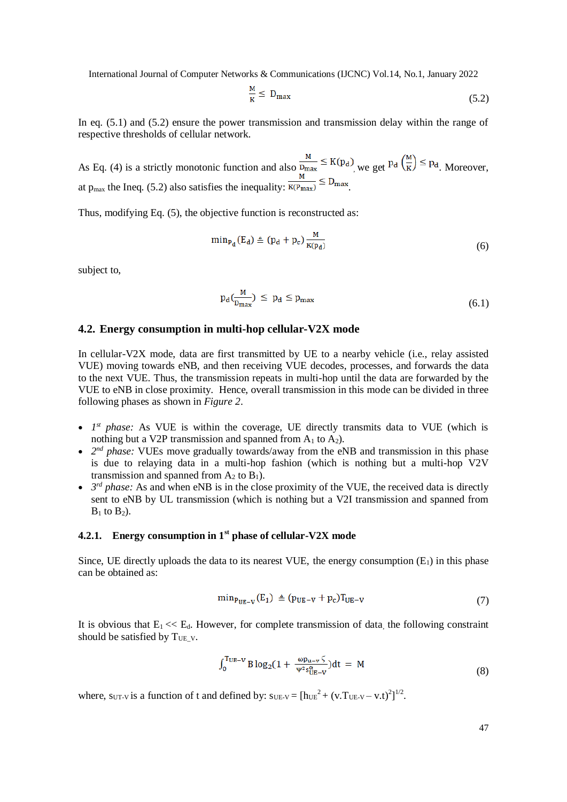$$
\frac{M}{K} \le D_{\text{max}} \tag{5.2}
$$

In eq. (5.1) and (5.2) ensure the power transmission and transmission delay within the range of respective thresholds of cellular network.

As Eq. (4) is a strictly monotonic function and also  $\frac{M}{D_{\text{max}}} \leq K(p_d)$ , we get  $p_d \left(\frac{M}{K}\right) \leq p_d$ . Moreover, at p<sub>max</sub> the Ineq. (5.2) also satisfies the inequality:  $\frac{m}{K(P_{\text{max}})} \le D_{\text{max}}$ .

Thus, modifying Eq. (5), the objective function is reconstructed as:

$$
\min_{P_d}(E_d) \triangleq (p_d + p_c) \frac{M}{K(p_d)}\tag{6}
$$

subject to,

$$
p_d(\frac{M}{D_{\text{max}}}) \le p_d \le p_{\text{max}} \tag{6.1}
$$

#### **4.2. Energy consumption in multi-hop cellular-V2X mode**

In cellular-V2X mode, data are first transmitted by UE to a nearby vehicle (i.e., relay assisted VUE) moving towards eNB, and then receiving VUE decodes, processes, and forwards the data to the next VUE. Thus, the transmission repeats in multi-hop until the data are forwarded by the VUE to eNB in close proximity. Hence, overall transmission in this mode can be divided in three following phases as shown in *Figure 2*.

- $1<sup>st</sup> phase:$  As VUE is within the coverage, UE directly transmits data to VUE (which is nothing but a V2P transmission and spanned from  $A_1$  to  $A_2$ ).
- 2<sup>nd</sup> phase: VUEs move gradually towards/away from the eNB and transmission in this phase is due to relaying data in a multi-hop fashion (which is nothing but a multi-hop V2V transmission and spanned from  $A_2$  to  $B_1$ ).
- $\bullet$  *3<sup>rd</sup> phase:* As and when eNB is in the close proximity of the VUE, the received data is directly sent to eNB by UL transmission (which is nothing but a V2I transmission and spanned from  $B_1$  to  $B_2$ ).

#### **4.2.1. Energy consumption in 1st phase of cellular-V2X mode**

Since, UE directly uploads the data to its nearest VUE, the energy consumption  $(E_1)$  in this phase can be obtained as:

$$
\min_{P_{UE-V}}(E_1) \triangleq (p_{UE-V} + p_c)T_{UE-V} \tag{7}
$$

It is obvious that  $E_1 \ll E_d$ . However, for complete transmission of data, the following constraint should be satisfied by  $T_{UE\_V}$ .

$$
\int_0^{T_{UE}-v} B \log_2(1+\frac{\omega p_{u-v} \zeta}{\Psi^2 s_{UE-V}^{\alpha}}) dt = M \tag{8}
$$

where,  $s_{UT-V}$  is a function of t and defined by:  $s_{UE-V} = [h_{UE}^2 + (v \cdot T_{UE-V} - v \cdot t)^2]^{1/2}$ .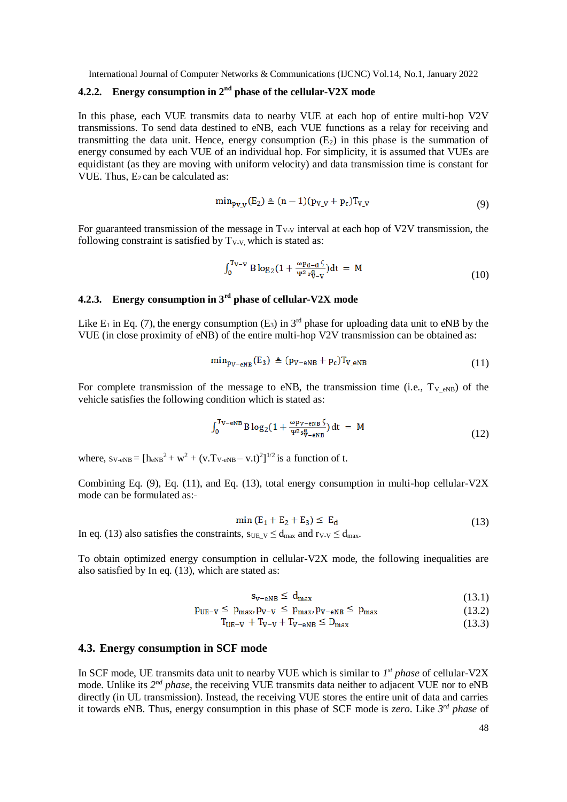# **4.2.2. Energy consumption in 2nd phase of the cellular-V2X mode**

In this phase, each VUE transmits data to nearby VUE at each hop of entire multi-hop V2V transmissions. To send data destined to eNB, each VUE functions as a relay for receiving and transmitting the data unit. Hence, energy consumption  $(E_2)$  in this phase is the summation of energy consumed by each VUE of an individual hop. For simplicity, it is assumed that VUEs are equidistant (as they are moving with uniform velocity) and data transmission time is constant for VUE. Thus,  $E_2$  can be calculated as:

$$
\min_{p_{V\underline{V}}}(E_2) \triangleq (n-1)(p_{V\underline{V}} + p_c)T_{V\underline{V}}
$$
\n(9)

For guaranteed transmission of the message in  $T_{V-V}$  interval at each hop of V2V transmission, the following constraint is satisfied by  $T_{V-V}$ , which is stated as:

$$
\int_0^{T_{V-V}} B \log_2(1 + \frac{\omega p_{d-d} \zeta}{\Psi^2 r_{V-V}^{\alpha}}) dt = M
$$
 (10)

# **4.2.3. Energy consumption in 3rd phase of cellular-V2X mode**

Like  $E_1$  in Eq. (7), the energy consumption (E<sub>3</sub>) in 3<sup>rd</sup> phase for uploading data unit to eNB by the VUE (in close proximity of eNB) of the entire multi-hop V2V transmission can be obtained as:

$$
\min_{\mathbf{p}_{\mathbf{V}-\mathbf{e}\mathbf{N}\mathbf{B}}}(\mathbf{E}_3) \triangleq (\mathbf{p}_{\mathbf{V}-\mathbf{e}\mathbf{N}\mathbf{B}} + \mathbf{p}_c) \mathbf{T}_{\mathbf{V}\_\mathbf{e}\mathbf{N}\mathbf{B}} \tag{11}
$$

For complete transmission of the message to eNB, the transmission time (i.e.,  $T_{V|eNB}$ ) of the vehicle satisfies the following condition which is stated as:

$$
\int_0^{T_V - \text{eNB}} B \log_2(1 + \frac{\omega_{\text{PV-eNB}}}{\Psi^2 s_V^{\alpha}}) dt = M \tag{12}
$$

where,  $s_{V\text{-eNB}} = [h_{eNB}^2 + w^2 + (v \text{.} T_{V\text{-eNB}} - v \text{.} t)^2]^{1/2}$  is a function of t.

Combining Eq. (9), Eq. (11), and Eq. (13), total energy consumption in multi-hop cellular-V2X mode can be formulated as:

$$
\min\left(E_1 + E_2 + E_3\right) \le E_d \tag{13}
$$

In eq. (13) also satisfies the constraints,  $s_{UE}$   $v \le d_{max}$  and  $r_{V-V} \le d_{max}$ .

To obtain optimized energy consumption in cellular-V2X mode, the following inequalities are also satisfied by In eq. (13), which are stated as:

$$
s_{v-\text{eNB}} \le d_{\text{max}} \tag{13.1}
$$

$$
p_{UE-V} \le p_{max} p_{V-V} \le p_{max} p_{V-eNB} \le p_{max} \tag{13.2}
$$

 $T_{UE-V} + T_{V-V} + T_{V-eNB} \le D_{max}$  (13.3)

#### **4.3. Energy consumption in SCF mode**

In SCF mode, UE transmits data unit to nearby VUE which is similar to *1 st phase* of cellular-V2X mode. Unlike its 2<sup>nd</sup> phase, the receiving VUE transmits data neither to adjacent VUE nor to eNB directly (in UL transmission). Instead, the receiving VUE stores the entire unit of data and carries it towards eNB. Thus, energy consumption in this phase of SCF mode is *zero*. Like *3 rd phase* of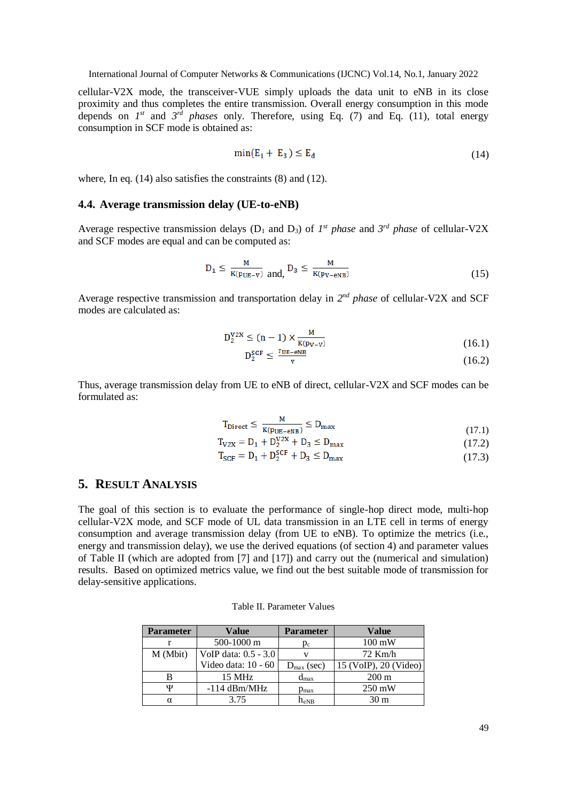cellular-V2X mode, the transceiver-VUE simply uploads the data unit to eNB in its close proximity and thus completes the entire transmission. Overall energy consumption in this mode depends on  $I^{st}$  and  $3^{rd}$  *phases* only. Therefore, using Eq. (7) and Eq. (11), total energy consumption in SCF mode is obtained as:

$$
\min(E_1 + E_3) \le E_d \tag{14}
$$

where, In eq. (14) also satisfies the constraints (8) and (12).

#### **4.4. Average transmission delay (UE-to-eNB)**

Average respective transmission delays ( $D_1$  and  $D_3$ ) of  $I^{st}$  *phase* and  $3^{rd}$  *phase* of cellular-V2X and SCF modes are equal and can be computed as:

$$
D_1 \le \frac{M}{K(p_{UE}-v)} \text{ and, } D_3 \le \frac{M}{K(p_{V-ENB})} \tag{15}
$$

Average respective transmission and transportation delay in 2<sup>nd</sup> phase of cellular-V2X and SCF modes are calculated as:

$$
D_2^{V2X} \le (n-1) \times \frac{M}{K(p_{V-V})}
$$
\n
$$
D_2^{SCE} \le \frac{\Gamma U E - \rho N B}{\Gamma U K - \rho N B}
$$
\n(16.1)

$$
D_2^{\text{out}} \le \frac{C_2^{\text{out}}}{v} \tag{16.2}
$$

Thus, average transmission delay from UE to eNB of direct, cellular-V2X and SCF modes can be formulated as:

$$
T_{\text{Direct}} \le \frac{M}{K(p_{\text{UE}} - e_{\text{NB}})} \le D_{\text{max}} \tag{17.1}
$$

$$
T_{V2X} = D_1 + D_2^{V2X} + D_3 \le D_{\text{max}} \tag{17.2}
$$

$$
T_{SCF} = D_1 + D_2^{SCF} + D_3 \le D_{max}
$$
 (17.3)

# **5. RESULT ANALYSIS**

The goal of this section is to evaluate the performance of single-hop direct mode, multi-hop cellular-V2X mode, and SCF mode of UL data transmission in an LTE cell in terms of energy consumption and average transmission delay (from UE to eNB). To optimize the metrics (i.e., energy and transmission delay), we use the derived equations (of section 4) and parameter values of Table II (which are adopted from [7] and [17]) and carry out the (numerical and simulation) results. Based on optimized metrics value, we find out the best suitable mode of transmission for delay-sensitive applications.

| <b>Parameter</b> | Value                | <b>Parameter</b>       | Value                 |
|------------------|----------------------|------------------------|-----------------------|
|                  | 500-1000 m           | $p_c$                  | $100 \text{ mW}$      |
| M (Mbit)         | VoIP data: 0.5 - 3.0 |                        | $72$ Km/h             |
|                  | Video data: 10 - 60  | $D_{\text{max}}$ (sec) | 15 (VoIP), 20 (Video) |
|                  | $15$ MHz             | $d_{\text{max}}$       | $200 \text{ m}$       |
| Ψ                | $-114$ dBm/MHz       | $p_{\text{max}}$       | $250 \,\mathrm{mW}$   |
| α                | 3.75                 | $h_{eNB}$              | 30 m                  |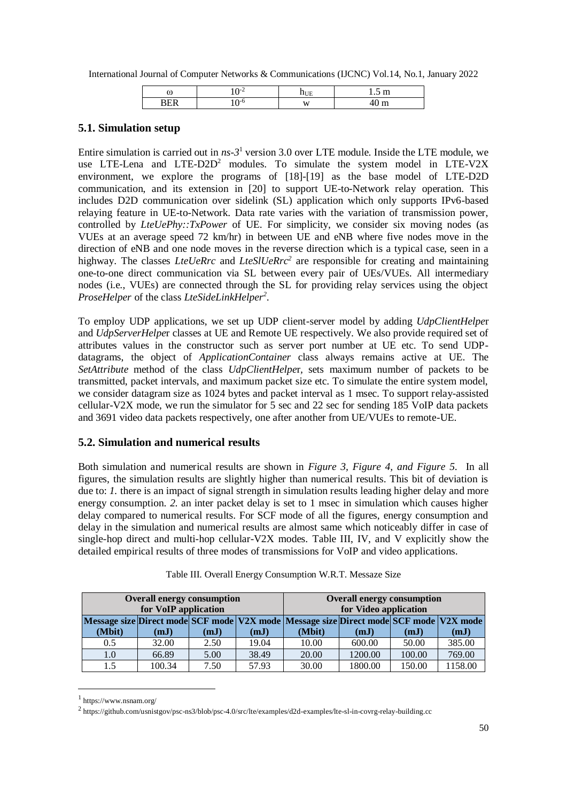| ω | <br>∽        | <br>. |
|---|--------------|-------|
|   | $\mathbf{W}$ |       |

### **5.1. Simulation setup**

Entire simulation is carried out in  $ns-3<sup>1</sup>$  version 3.0 over LTE module. Inside the LTE module, we use LTE-Lena and  $LTE-D2D<sup>2</sup>$  modules. To simulate the system model in LTE-V2X environment, we explore the programs of [18]-[19] as the base model of LTE-D2D communication, and its extension in [20] to support UE-to-Network relay operation. This includes D2D communication over sidelink (SL) application which only supports IPv6-based relaying feature in UE-to-Network. Data rate varies with the variation of transmission power, controlled by *LteUePhy::TxPower* of UE. For simplicity, we consider six moving nodes (as VUEs at an average speed 72 km/hr) in between UE and eNB where five nodes move in the direction of eNB and one node moves in the reverse direction which is a typical case, seen in a highway. The classes *LteUeRrc* and *LteSlUeRrc<sup>2</sup>* are responsible for creating and maintaining one-to-one direct communication via SL between every pair of UEs/VUEs. All intermediary nodes (i.e., VUEs) are connected through the SL for providing relay services using the object *ProseHelper* of the class *LteSideLinkHelper<sup>2</sup>* .

To employ UDP applications, we set up UDP client-server model by adding *UdpClientHelpe*r and *UdpServerHelpe*r classes at UE and Remote UE respectively. We also provide required set of attributes values in the constructor such as server port number at UE etc. To send UDPdatagrams, the object of *ApplicationContainer* class always remains active at UE. The *SetAttribute* method of the class *UdpClientHelpe*r*,* sets maximum number of packets to be transmitted, packet intervals, and maximum packet size etc. To simulate the entire system model, we consider datagram size as 1024 bytes and packet interval as 1 msec. To support relay-assisted cellular-V2X mode, we run the simulator for 5 sec and 22 sec for sending 185 VoIP data packets and 3691 video data packets respectively, one after another from UE/VUEs to remote-UE.

### **5.2. Simulation and numerical results**

Both simulation and numerical results are shown in *Figure 3, Figure 4, and Figure 5.* In all figures, the simulation results are slightly higher than numerical results. This bit of deviation is due to: *1.* there is an impact of signal strength in simulation results leading higher delay and more energy consumption. *2.* an inter packet delay is set to 1 msec in simulation which causes higher delay compared to numerical results. For SCF mode of all the figures, energy consumption and delay in the simulation and numerical results are almost same which noticeably differ in case of single-hop direct and multi-hop cellular-V2X modes. Table III, IV, and V explicitly show the detailed empirical results of three modes of transmissions for VoIP and video applications.

|                                                                                       | <b>Overall energy consumption</b><br>for VoIP application |        |      |       |        | <b>Overall energy consumption</b><br>for Video application<br>(mJ)<br>(mJ)<br>(mJ) |        |         |
|---------------------------------------------------------------------------------------|-----------------------------------------------------------|--------|------|-------|--------|------------------------------------------------------------------------------------|--------|---------|
| Message size Direct mode SCF mode V2X mode Message size Direct mode SCF mode V2X mode |                                                           |        |      |       |        |                                                                                    |        |         |
|                                                                                       | (Mbit)                                                    | (mJ)   | (mJ) | (mJ)  | (Mbit) |                                                                                    |        |         |
|                                                                                       | 0.5                                                       | 32.00  | 2.50 | 19.04 | 10.00  | 600.00                                                                             | 50.00  | 385.00  |
|                                                                                       | 1.0                                                       | 66.89  | 5.00 | 38.49 | 20.00  | 1200.00                                                                            | 100.00 | 769.00  |
|                                                                                       | 1.5                                                       | 100.34 | 7.50 | 57.93 | 30.00  | 1800.00                                                                            | 150.00 | 1158.00 |

Table III. Overall Energy Consumption W.R.T. Messaze Size

1

<sup>1</sup> https://www.nsnam.org/

<sup>2</sup> <https://github.com/usnistgov/psc-ns3/blob/psc-4.0/src/lte/examples/d2d-examples/lte-sl-in-covrg-relay-building.cc>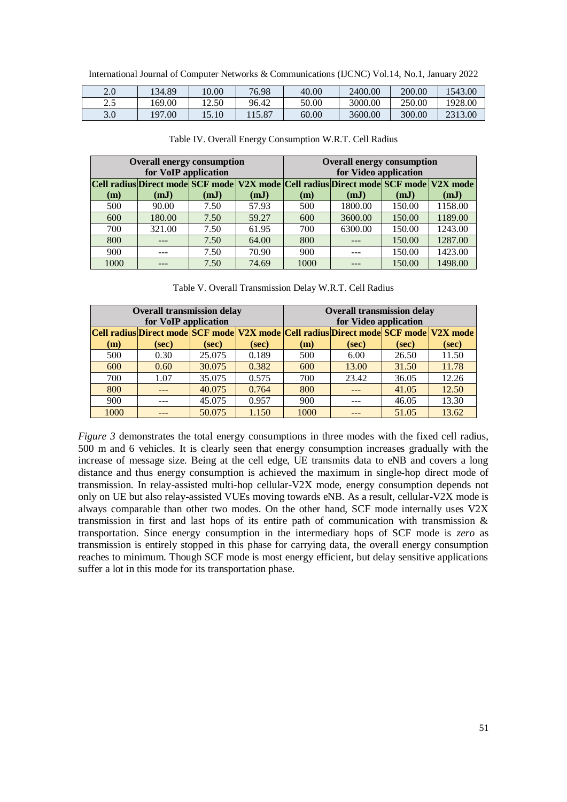International Journal of Computer Networks & Communications (IJCNC) Vol.14, No.1, January 2022

| 2.0         | 34.89       | 10.00 | 76.98 | 40.00 | 2400.00 | 200.00 | 543.00  |
|-------------|-------------|-------|-------|-------|---------|--------|---------|
| ኅ ⊄<br>د. ۷ | 69.00       | 12.50 | 96.42 | 50.00 | 3000.00 | 250.00 | 1928.00 |
| 3.0         | .00<br>197. | 15.10 | 15.87 | 60.00 | 3600.00 | 300.00 | 2313.00 |

| <b>Overall energy consumption</b><br>for VoIP application                           |        |      |       |      | <b>Overall energy consumption</b><br>for Video application |        |         |  |
|-------------------------------------------------------------------------------------|--------|------|-------|------|------------------------------------------------------------|--------|---------|--|
| Cell radius Direct mode SCF mode V2X mode Cell radius Direct mode SCF mode V2X mode |        |      |       |      |                                                            |        |         |  |
| (m)                                                                                 | (mJ)   | (mJ) | (mJ)  | (m)  | (mJ)                                                       | (mJ)   | (mJ)    |  |
| 500                                                                                 | 90.00  | 7.50 | 57.93 | 500  | 1800.00                                                    | 150.00 | 1158.00 |  |
| 600                                                                                 | 180.00 | 7.50 | 59.27 | 600  | 3600.00                                                    | 150.00 | 1189.00 |  |
| 700                                                                                 | 321.00 | 7.50 | 61.95 | 700  | 6300.00                                                    | 150.00 | 1243.00 |  |
| 800                                                                                 | ---    | 7.50 | 64.00 | 800  |                                                            | 150.00 | 1287.00 |  |
| 900                                                                                 |        | 7.50 | 70.90 | 900  |                                                            | 150.00 | 1423.00 |  |
| 1000                                                                                |        | 7.50 | 74.69 | 1000 |                                                            | 150.00 | 1498.00 |  |

Table IV. Overall Energy Consumption W.R.T. Cell Radius

Table V. Overall Transmission Delay W.R.T. Cell Radius

| <b>Overall transmission delay</b><br>for VoIP application                           |       |        |       | <b>Overall transmission delay</b><br>for Video application |       |       |       |
|-------------------------------------------------------------------------------------|-------|--------|-------|------------------------------------------------------------|-------|-------|-------|
| Cell radius Direct mode SCF mode V2X mode Cell radius Direct mode SCF mode V2X mode |       |        |       |                                                            |       |       |       |
| (m)                                                                                 | (sec) | (sec)  | (sec) | (m)                                                        | (sec) | (sec) | (sec) |
| 500                                                                                 | 0.30  | 25.075 | 0.189 | 500                                                        | 6.00  | 26.50 | 11.50 |
| 600                                                                                 | 0.60  | 30.075 | 0.382 | 600                                                        | 13.00 | 31.50 | 11.78 |
| 700                                                                                 | 1.07  | 35.075 | 0.575 | 700                                                        | 23.42 | 36.05 | 12.26 |
| 800                                                                                 |       | 40.075 | 0.764 | 800                                                        |       | 41.05 | 12.50 |
| 900                                                                                 |       | 45.075 | 0.957 | 900                                                        |       | 46.05 | 13.30 |
| 1000                                                                                |       | 50.075 | 1.150 | 1000                                                       |       | 51.05 | 13.62 |

*Figure* 3 demonstrates the total energy consumptions in three modes with the fixed cell radius, 500 m and 6 vehicles. It is clearly seen that energy consumption increases gradually with the increase of message size. Being at the cell edge, UE transmits data to eNB and covers a long distance and thus energy consumption is achieved the maximum in single-hop direct mode of transmission. In relay-assisted multi-hop cellular-V2X mode, energy consumption depends not only on UE but also relay-assisted VUEs moving towards eNB. As a result, cellular-V2X mode is always comparable than other two modes. On the other hand, SCF mode internally uses V2X transmission in first and last hops of its entire path of communication with transmission & transportation. Since energy consumption in the intermediary hops of SCF mode is *zero* as transmission is entirely stopped in this phase for carrying data, the overall energy consumption reaches to minimum. Though SCF mode is most energy efficient, but delay sensitive applications suffer a lot in this mode for its transportation phase.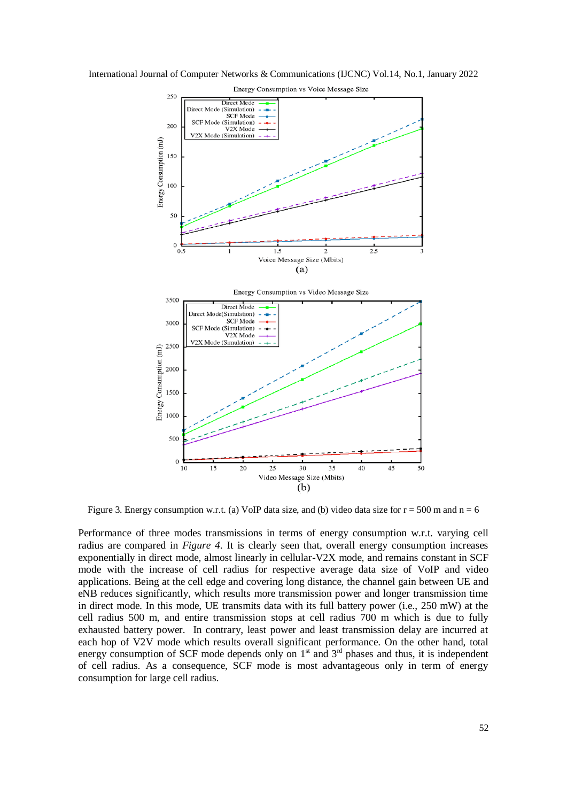International Journal of Computer Networks & Communications (IJCNC) Vol.14, No.1, January 2022



Figure 3. Energy consumption w.r.t. (a) VoIP data size, and (b) video data size for  $r = 500$  m and  $n = 6$ 

Performance of three modes transmissions in terms of energy consumption w.r.t. varying cell radius are compared in *Figure 4*. It is clearly seen that, overall energy consumption increases exponentially in direct mode, almost linearly in cellular-V2X mode, and remains constant in SCF mode with the increase of cell radius for respective average data size of VoIP and video applications. Being at the cell edge and covering long distance, the channel gain between UE and eNB reduces significantly, which results more transmission power and longer transmission time in direct mode. In this mode, UE transmits data with its full battery power (i.e., 250 mW) at the cell radius 500 m, and entire transmission stops at cell radius 700 m which is due to fully exhausted battery power. In contrary, least power and least transmission delay are incurred at each hop of V2V mode which results overall significant performance. On the other hand, total energy consumption of SCF mode depends only on  $1<sup>st</sup>$  and  $3<sup>rd</sup>$  phases and thus, it is independent of cell radius. As a consequence, SCF mode is most advantageous only in term of energy consumption for large cell radius.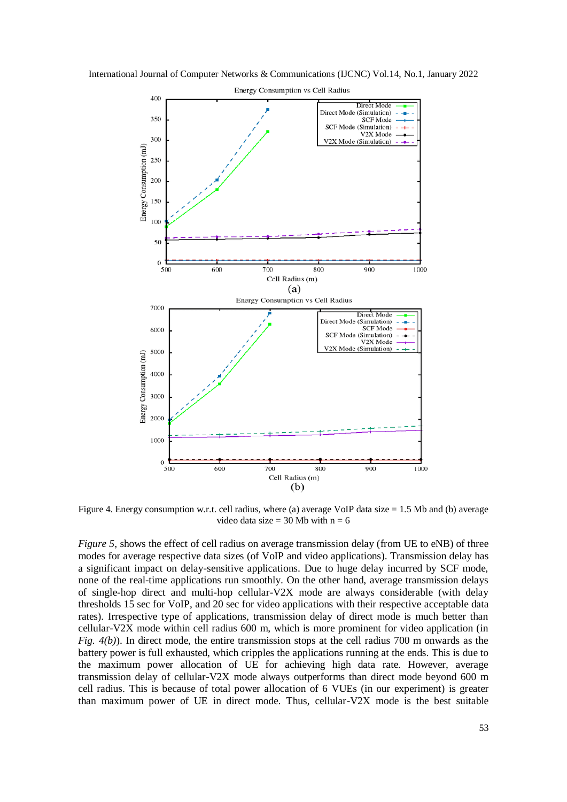International Journal of Computer Networks & Communications (IJCNC) Vol.14, No.1, January 2022



Figure 4. Energy consumption w.r.t. cell radius, where (a) average VoIP data size = 1.5 Mb and (b) average video data size =  $30$  Mb with  $n = 6$ 

*Figure* 5, shows the effect of cell radius on average transmission delay (from UE to eNB) of three modes for average respective data sizes (of VoIP and video applications). Transmission delay has a significant impact on delay-sensitive applications. Due to huge delay incurred by SCF mode, none of the real-time applications run smoothly. On the other hand, average transmission delays of single-hop direct and multi-hop cellular-V2X mode are always considerable (with delay thresholds 15 sec for VoIP, and 20 sec for video applications with their respective acceptable data rates). Irrespective type of applications, transmission delay of direct mode is much better than cellular-V2X mode within cell radius 600 m, which is more prominent for video application (in *Fig. 4(b)*). In direct mode, the entire transmission stops at the cell radius 700 m onwards as the battery power is full exhausted, which cripples the applications running at the ends. This is due to the maximum power allocation of UE for achieving high data rate. However, average transmission delay of cellular-V2X mode always outperforms than direct mode beyond 600 m cell radius. This is because of total power allocation of 6 VUEs (in our experiment) is greater than maximum power of UE in direct mode. Thus, cellular-V2X mode is the best suitable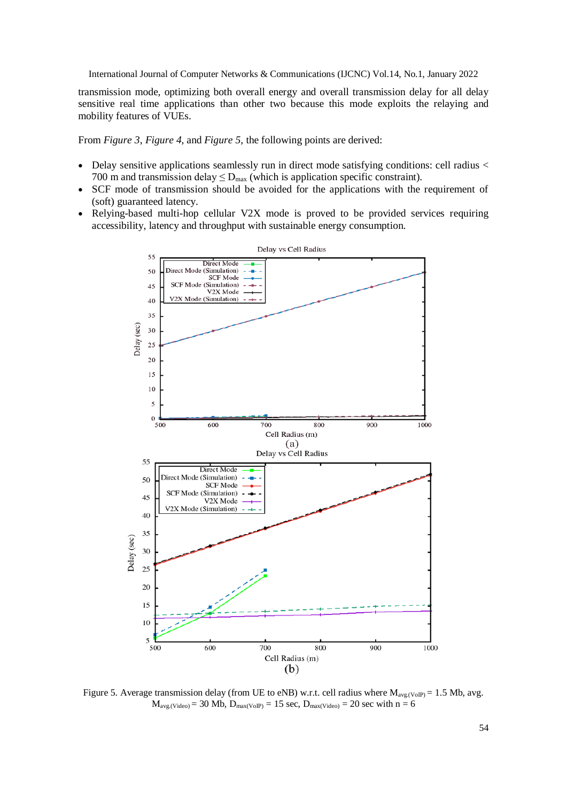transmission mode, optimizing both overall energy and overall transmission delay for all delay sensitive real time applications than other two because this mode exploits the relaying and mobility features of VUEs.

From *Figure 3*, *Figure 4*, and *Figure 5*, the following points are derived:

- $\bullet$  Delay sensitive applications seamlessly run in direct mode satisfying conditions: cell radius  $\lt$ 700 m and transmission delay  $\leq D_{\text{max}}$  (which is application specific constraint).
- SCF mode of transmission should be avoided for the applications with the requirement of (soft) guaranteed latency.
- Relying-based multi-hop cellular V2X mode is proved to be provided services requiring accessibility, latency and throughput with sustainable energy consumption.



Figure 5. Average transmission delay (from UE to eNB) w.r.t. cell radius where  $M_{\text{avg.}(\text{VoIP})} = 1.5$  Mb, avg.  $M_{\text{ave,Video}} = 30 \text{ Mb}, D_{\text{max(VoIP)}} = 15 \text{ sec}, D_{\text{max(Video)}} = 20 \text{ sec with } n = 6$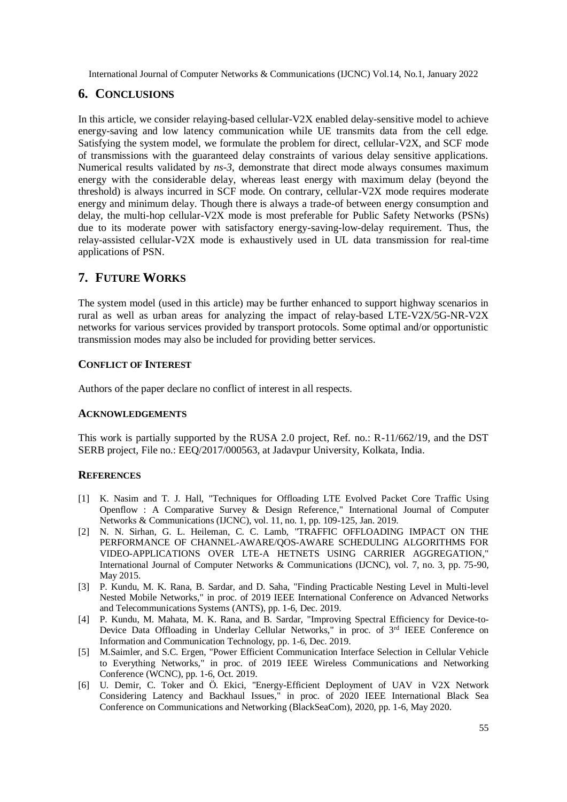# **6. CONCLUSIONS**

In this article, we consider relaying-based cellular-V2X enabled delay-sensitive model to achieve energy-saving and low latency communication while UE transmits data from the cell edge. Satisfying the system model, we formulate the problem for direct, cellular-V2X, and SCF mode of transmissions with the guaranteed delay constraints of various delay sensitive applications. Numerical results validated by *ns-3*, demonstrate that direct mode always consumes maximum energy with the considerable delay, whereas least energy with maximum delay (beyond the threshold) is always incurred in SCF mode. On contrary, cellular-V2X mode requires moderate energy and minimum delay. Though there is always a trade-of between energy consumption and delay, the multi-hop cellular-V2X mode is most preferable for Public Safety Networks (PSNs) due to its moderate power with satisfactory energy-saving-low-delay requirement. Thus, the relay-assisted cellular-V2X mode is exhaustively used in UL data transmission for real-time applications of PSN.

# **7. FUTURE WORKS**

The system model (used in this article) may be further enhanced to support highway scenarios in rural as well as urban areas for analyzing the impact of relay-based LTE-V2X/5G-NR-V2X networks for various services provided by transport protocols. Some optimal and/or opportunistic transmission modes may also be included for providing better services.

### **CONFLICT OF INTEREST**

Authors of the paper declare no conflict of interest in all respects.

### **ACKNOWLEDGEMENTS**

This work is partially supported by the RUSA 2.0 project, Ref. no.: R-11/662/19, and the DST SERB project, File no.: EEQ/2017/000563, at Jadavpur University, Kolkata, India.

### **REFERENCES**

- [1] K. Nasim and T. J. Hall, "Techniques for Offloading LTE Evolved Packet Core Traffic Using Openflow : A Comparative Survey & Design Reference," International Journal of Computer Networks & Communications (IJCNC), vol. 11, no. 1, pp. 109-125, Jan. 2019.
- [2] N. N. Sirhan, G. L. Heileman, C. C. Lamb, "TRAFFIC OFFLOADING IMPACT ON THE PERFORMANCE OF CHANNEL-AWARE/QOS-AWARE SCHEDULING ALGORITHMS FOR VIDEO-APPLICATIONS OVER LTE-A HETNETS USING CARRIER AGGREGATION," International Journal of Computer Networks & Communications (IJCNC), vol. 7, no. 3, pp. 75-90, May 2015.
- [3] P. Kundu, M. K. Rana, B. Sardar, and D. Saha, "Finding Practicable Nesting Level in Multi-level Nested Mobile Networks," in proc. of 2019 IEEE International Conference on Advanced Networks and Telecommunications Systems (ANTS), pp. 1-6, Dec. 2019.
- [4] P. Kundu, M. Mahata, M. K. Rana, and B. Sardar, "Improving Spectral Efficiency for Device-to-Device Data Offloading in Underlay Cellular Networks," in proc. of 3rd IEEE Conference on Information and Communication Technology, pp. 1-6, Dec. 2019.
- [5] M.Saimler, and S.C. Ergen, "Power Efficient Communication Interface Selection in Cellular Vehicle to Everything Networks," in proc. of 2019 IEEE Wireless Communications and Networking Conference (WCNC), pp. 1-6, Oct. 2019.
- [6] U. Demir, C. Toker and Ö. Ekici, "Energy-Efficient Deployment of UAV in V2X Network Considering Latency and Backhaul Issues," in proc. of 2020 IEEE International Black Sea Conference on Communications and Networking (BlackSeaCom), 2020, pp. 1-6, May 2020.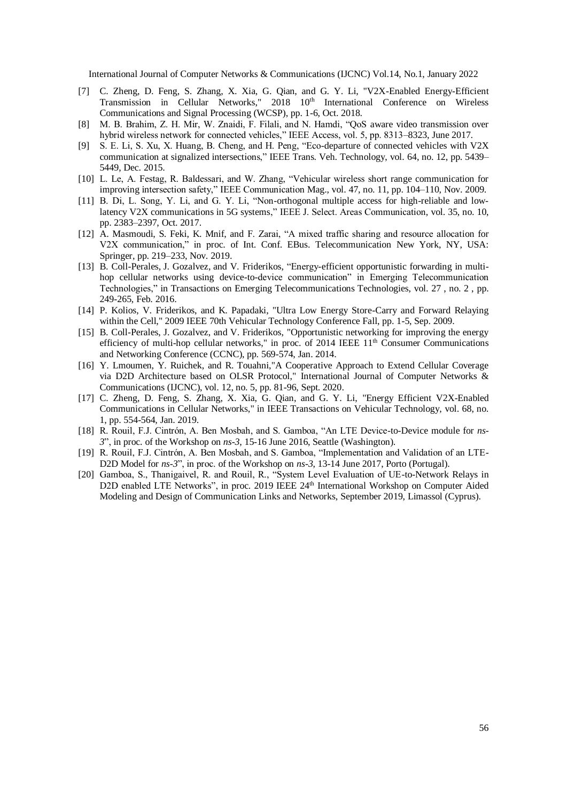- [7] C. Zheng, D. Feng, S. Zhang, X. Xia, G. Qian, and G. Y. Li, "V2X-Enabled Energy-Efficient Transmission in Cellular Networks," 2018 10th International Conference on Wireless Communications and Signal Processing (WCSP), pp. 1-6, Oct. 2018.
- [8] M. B. Brahim, Z. H. Mir, W. Znaidi, F. Filali, and N. Hamdi, "QoS aware video transmission over hybrid wireless network for connected vehicles," IEEE Access, vol. 5, pp. 8313–8323, June 2017.
- [9] S. E. Li, S. Xu, X. Huang, B. Cheng, and H. Peng, "Eco-departure of connected vehicles with V2X communication at signalized intersections," IEEE Trans. Veh. Technology, vol. 64, no. 12, pp. 5439– 5449, Dec. 2015.
- [10] L. Le, A. Festag, R. Baldessari, and W. Zhang, "Vehicular wireless short range communication for improving intersection safety," IEEE Communication Mag., vol. 47, no. 11, pp. 104–110, Nov. 2009.
- [11] B. Di, L. Song, Y. Li, and G. Y. Li, "Non-orthogonal multiple access for high-reliable and lowlatency V2X communications in 5G systems," IEEE J. Select. Areas Communication, vol. 35, no. 10, pp. 2383–2397, Oct. 2017.
- [12] A. Masmoudi, S. Feki, K. Mnif, and F. Zarai, "A mixed traffic sharing and resource allocation for V2X communication," in proc. of Int. Conf. EBus. Telecommunication New York, NY, USA: Springer, pp. 219–233, Nov. 2019.
- [13] [B. Coll-Perales,](https://onlinelibrary.wiley.com/action/doSearch?ContribAuthorStored=Coll-Perales%2C+B) [J. Gozalvez,](https://onlinelibrary.wiley.com/action/doSearch?ContribAuthorStored=Gozalvez%2C+J) and [V. Friderikos,](https://onlinelibrary.wiley.com/action/doSearch?ContribAuthorStored=Friderikos%2C+V) "Energy-efficient opportunistic forwarding in multihop cellular networks using device-to-device communication" in Emerging Telecommunication Technologies," in Transactions on Emerging Telecommunications Technologies, vol. 27 , no. 2 , pp. 249-265, Feb. 2016.
- [14] P. Kolios, V. Friderikos, and K. Papadaki, "Ultra Low Energy Store-Carry and Forward Relaying within the Cell," 2009 IEEE 70th Vehicular Technology Conference Fall, pp. 1-5, Sep. 2009.
- [15] B. Coll-Perales, J. Gozalvez, and V. Friderikos, "Opportunistic networking for improving the energy efficiency of multi-hop cellular networks," in proc. of  $2014$  IEEE  $11<sup>th</sup>$  Consumer Communications and Networking Conference (CCNC), pp. 569-574, Jan. 2014.
- [16] Y. Lmoumen, Y. Ruichek, and R. Touahni,"A Cooperative Approach to Extend Cellular Coverage via D2D Architecture based on OLSR Protocol," International Journal of Computer Networks & Communications (IJCNC), vol. 12, no. 5, pp. 81-96, Sept. 2020.
- [17] C. Zheng, D. Feng, S. Zhang, X. Xia, G. Qian, and G. Y. Li, "Energy Efficient V2X-Enabled Communications in Cellular Networks," in IEEE Transactions on Vehicular Technology, vol. 68, no. 1, pp. 554-564, Jan. 2019.
- [18] R. Rouil, F.J. Cintrón, A. Ben Mosbah, and S. Gamboa, "An LTE Device-to-Device module for *ns-3*", in proc. of the Workshop on *ns-3*, 15-16 June 2016, Seattle (Washington).
- [19] R. Rouil, F.J. Cintrón, A. Ben Mosbah, and S. Gamboa, "Implementation and Validation of an LTE-D2D Model for *ns-3*", in proc. of the Workshop on *ns-3*, 13-14 June 2017, Porto (Portugal).
- [20] Gamboa, S., Thanigaivel, R. and Rouil, R., "System Level Evaluation of UE-to-Network Relays in D2D enabled LTE Networks", in proc. 2019 IEEE 24<sup>th</sup> International Workshop on Computer Aided Modeling and Design of Communication Links and Networks, September 2019, Limassol (Cyprus).